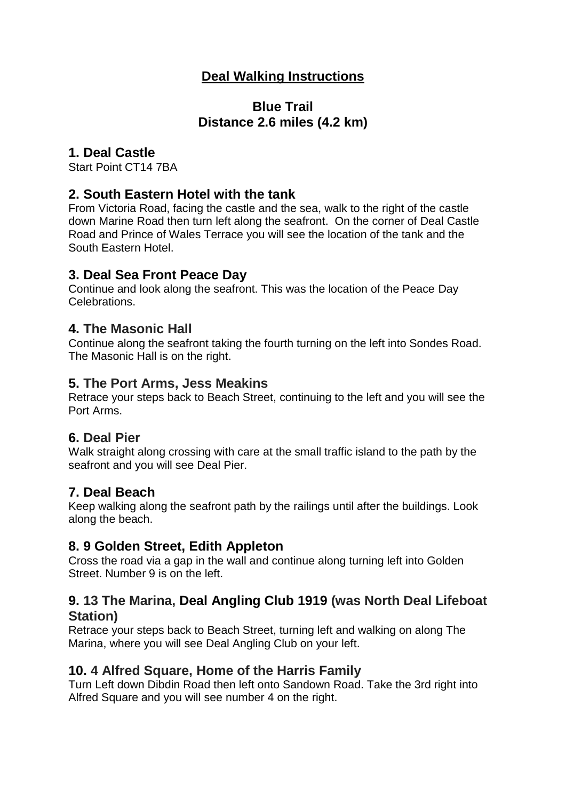## **Deal Walking Instructions**

### **Blue Trail Distance 2.6 miles (4.2 km)**

#### **1. Deal Castle**

Start Point CT14 7BA

#### **2. South Eastern Hotel with the tank**

From Victoria Road, facing the castle and the sea, walk to the right of the castle down Marine Road then turn left along the seafront. On the corner of Deal Castle Road and Prince of Wales Terrace you will see the location of the tank and the South Eastern Hotel.

#### **3. Deal Sea Front Peace Day**

Continue and look along the seafront. This was the location of the Peace Day Celebrations.

### **4. The Masonic Hall**

Continue along the seafront taking the fourth turning on the left into Sondes Road. The Masonic Hall is on the right.

#### **5. The Port Arms, Jess Meakins**

Retrace your steps back to Beach Street, continuing to the left and you will see the Port Arms.

### **6. Deal Pier**

Walk straight along crossing with care at the small traffic island to the path by the seafront and you will see Deal Pier.

### **7. Deal Beach**

Keep walking along the seafront path by the railings until after the buildings. Look along the beach.

### **8. 9 Golden Street, Edith Appleton**

Cross the road via a gap in the wall and continue along turning left into Golden Street. Number 9 is on the left.

#### **9. 13 The Marina, Deal Angling Club 1919 (was North Deal Lifeboat Station)**

Retrace your steps back to Beach Street, turning left and walking on along The Marina, where you will see Deal Angling Club on your left.

### **10. 4 Alfred Square, Home of the Harris Family**

Turn Left down Dibdin Road then left onto Sandown Road. Take the 3rd right into Alfred Square and you will see number 4 on the right.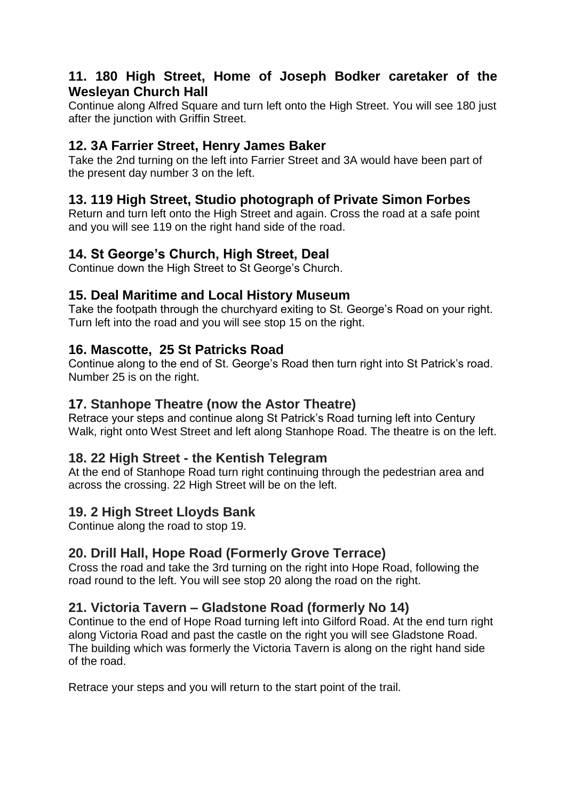### **11. 180 High Street, Home of Joseph Bodker caretaker of the Wesleyan Church Hall**

Continue along Alfred Square and turn left onto the High Street. You will see 180 just after the junction with Griffin Street.

## **12. 3A Farrier Street, Henry James Baker**

Take the 2nd turning on the left into Farrier Street and 3A would have been part of the present day number 3 on the left.

### **13. 119 High Street, Studio photograph of Private Simon Forbes**

Return and turn left onto the High Street and again. Cross the road at a safe point and you will see 119 on the right hand side of the road.

### **14. St George's Church, High Street, Deal**

Continue down the High Street to St George's Church.

### **15. Deal Maritime and Local History Museum**

Take the footpath through the churchyard exiting to St. George's Road on your right. Turn left into the road and you will see stop 15 on the right.

### **16. Mascotte, 25 St Patricks Road**

Continue along to the end of St. George's Road then turn right into St Patrick's road. Number 25 is on the right.

### **17. Stanhope Theatre (now the Astor Theatre)**

Retrace your steps and continue along St Patrick's Road turning left into Century Walk, right onto West Street and left along Stanhope Road. The theatre is on the left.

### **18. 22 High Street - the Kentish Telegram**

At the end of Stanhope Road turn right continuing through the pedestrian area and across the crossing. 22 High Street will be on the left.

### **19. 2 High Street Lloyds Bank**

Continue along the road to stop 19.

## **20. Drill Hall, Hope Road (Formerly Grove Terrace)**

Cross the road and take the 3rd turning on the right into Hope Road, following the road round to the left. You will see stop 20 along the road on the right.

### **21. Victoria Tavern – Gladstone Road (formerly No 14)**

Continue to the end of Hope Road turning left into Gilford Road. At the end turn right along Victoria Road and past the castle on the right you will see Gladstone Road. The building which was formerly the Victoria Tavern is along on the right hand side of the road.

Retrace your steps and you will return to the start point of the trail.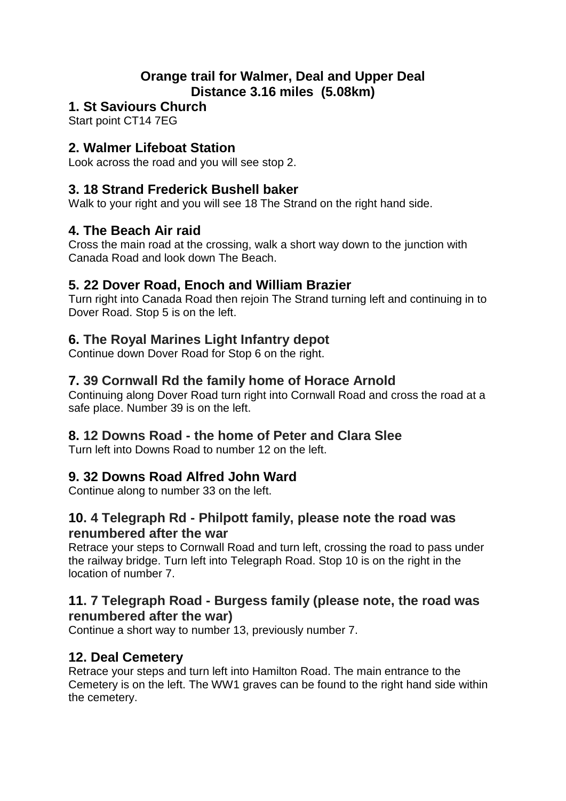## **Orange trail for Walmer, Deal and Upper Deal Distance 3.16 miles (5.08km)**

## **1. St Saviours Church**

Start point CT14 7EG

### **2. Walmer Lifeboat Station**

Look across the road and you will see stop 2.

### **3. 18 Strand Frederick Bushell baker**

Walk to your right and you will see 18 The Strand on the right hand side.

### **4. The Beach Air raid**

Cross the main road at the crossing, walk a short way down to the junction with Canada Road and look down The Beach.

### **5. 22 Dover Road, Enoch and William Brazier**

Turn right into Canada Road then rejoin The Strand turning left and continuing in to Dover Road. Stop 5 is on the left.

### **6. The Royal Marines Light Infantry depot**

Continue down Dover Road for Stop 6 on the right.

### **7. 39 Cornwall Rd the family home of Horace Arnold**

Continuing along Dover Road turn right into Cornwall Road and cross the road at a safe place. Number 39 is on the left.

### **8. 12 Downs Road - the home of Peter and Clara Slee**

Turn left into Downs Road to number 12 on the left.

### **9. 32 Downs Road Alfred John Ward**

Continue along to number 33 on the left.

### **10. 4 Telegraph Rd - Philpott family, please note the road was renumbered after the war**

Retrace your steps to Cornwall Road and turn left, crossing the road to pass under the railway bridge. Turn left into Telegraph Road. Stop 10 is on the right in the location of number 7.

#### **11. 7 Telegraph Road - Burgess family (please note, the road was renumbered after the war)**

Continue a short way to number 13, previously number 7.

## **12. Deal Cemetery**

Retrace your steps and turn left into Hamilton Road. The main entrance to the Cemetery is on the left. The WW1 graves can be found to the right hand side within the cemetery.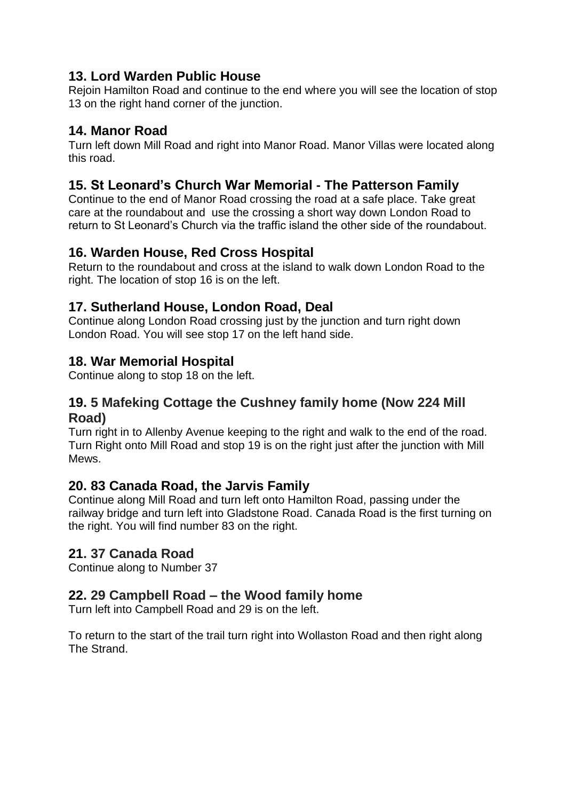## **13. Lord Warden Public House**

Rejoin Hamilton Road and continue to the end where you will see the location of stop 13 on the right hand corner of the junction.

### **14. Manor Road**

Turn left down Mill Road and right into Manor Road. Manor Villas were located along this road.

## **15. St Leonard's Church War Memorial - The Patterson Family**

Continue to the end of Manor Road crossing the road at a safe place. Take great care at the roundabout and use the crossing a short way down London Road to return to St Leonard's Church via the traffic island the other side of the roundabout.

### **16. Warden House, Red Cross Hospital**

Return to the roundabout and cross at the island to walk down London Road to the right. The location of stop 16 is on the left.

## **17. Sutherland House, London Road, Deal**

Continue along London Road crossing just by the junction and turn right down London Road. You will see stop 17 on the left hand side.

### **18. War Memorial Hospital**

Continue along to stop 18 on the left.

### **19. 5 Mafeking Cottage the Cushney family home (Now 224 Mill Road)**

Turn right in to Allenby Avenue keeping to the right and walk to the end of the road. Turn Right onto Mill Road and stop 19 is on the right just after the junction with Mill Mews.

### **20. 83 Canada Road, the Jarvis Family**

Continue along Mill Road and turn left onto Hamilton Road, passing under the railway bridge and turn left into Gladstone Road. Canada Road is the first turning on the right. You will find number 83 on the right.

## **21. 37 Canada Road**

Continue along to Number 37

### **22. 29 Campbell Road – the Wood family home**

Turn left into Campbell Road and 29 is on the left.

To return to the start of the trail turn right into Wollaston Road and then right along The Strand.